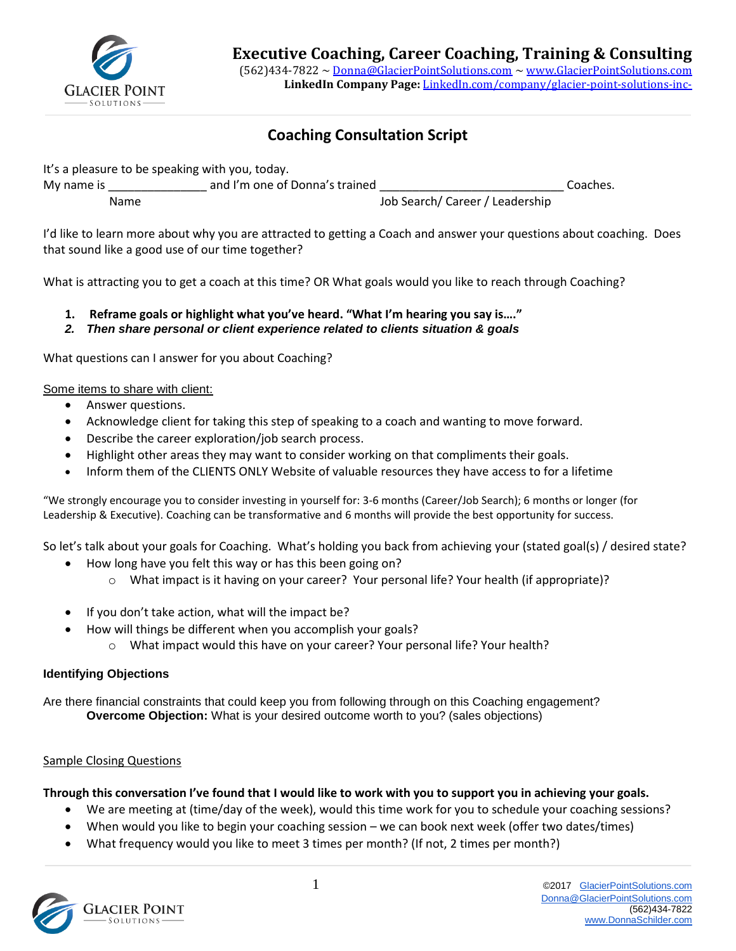

# **Coaching Consultation Script**

It's a pleasure to be speaking with you, today.

| My name is  | and I'm one of Donna's trained |                                 | Coaches. |
|-------------|--------------------------------|---------------------------------|----------|
| <b>Name</b> |                                | Job Search/ Career / Leadership |          |

I'd like to learn more about why you are attracted to getting a Coach and answer your questions about coaching. Does that sound like a good use of our time together?

What is attracting you to get a coach at this time? OR What goals would you like to reach through Coaching?

- **1. Reframe goals or highlight what you've heard. "What I'm hearing you say is…."**
- *2. Then share personal or client experience related to clients situation & goals*

What questions can I answer for you about Coaching?

Some items to share with client:

- Answer questions.
- Acknowledge client for taking this step of speaking to a coach and wanting to move forward.
- Describe the career exploration/job search process.
- Highlight other areas they may want to consider working on that compliments their goals.
- Inform them of the CLIENTS ONLY Website of valuable resources they have access to for a lifetime

"We strongly encourage you to consider investing in yourself for: 3-6 months (Career/Job Search); 6 months or longer (for Leadership & Executive). Coaching can be transformative and 6 months will provide the best opportunity for success.

So let's talk about your goals for Coaching. What's holding you back from achieving your (stated goal(s) / desired state?

- How long have you felt this way or has this been going on?
	- o What impact is it having on your career? Your personal life? Your health (if appropriate)?
- If you don't take action, what will the impact be?
	- How will things be different when you accomplish your goals?
		- o What impact would this have on your career? Your personal life? Your health?

### **Identifying Objections**

Are there financial constraints that could keep you from following through on this Coaching engagement? **Overcome Objection:** What is your desired outcome worth to you? (sales objections)

### Sample Closing Questions

## **Through this conversation I've found that I would like to work with you to support you in achieving your goals.**

- We are meeting at (time/day of the week), would this time work for you to schedule your coaching sessions?
- When would you like to begin your coaching session we can book next week (offer two dates/times)
- What frequency would you like to meet 3 times per month? (If not, 2 times per month?)